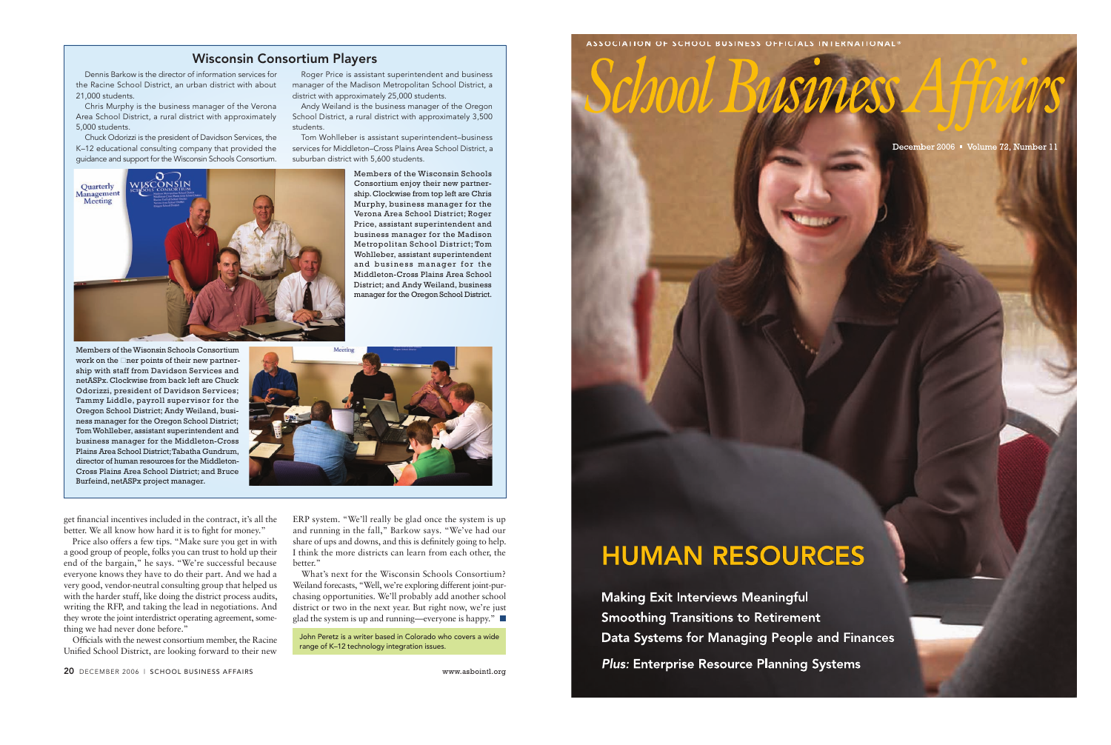get financial incentives included in the contract, it's all the better. We all know how hard it is to fight for money."

Price also offers a few tips. "Make sure you get in with a good group of people, folks you can trust to hold up their end of the bargain," he says. "We're successful because everyone knows they have to do their part. And we had a very good, vendor-neutral consulting group that helped us with the harder stuff, like doing the district process audits, writing the RFP, and taking the lead in negotiations. And they wrote the joint interdistrict operating agreement, something we had never done before."

What's next for the Wisconsin Schools Consortium? Weiland forecasts, "Well, we're exploring different joint-purchasing opportunities. We'll probably add another school district or two in the next year. But right now, we're just glad the system is up and running—everyone is happy." ■

Officials with the newest consortium member, the Racine Unified School District, are looking forward to their new

ERP system. "We'll really be glad once the system is up and running in the fall," Barkow says. "We've had our share of ups and downs, and this is definitely going to help. I think the more districts can learn from each other, the better."

20 DECEMBER 2006 | SCHOOL BUSINESS AFFAIRS www.asbointl.org

John Peretz is a writer based in Colorado who covers a wide range of K–12 technology integration issues.



## **HUMAN RESOURCES**

**Making Exit Interviews Meaningful Smoothing Transitions to Retirement** Data Systems for Managing People and Finances **Plus: Enterprise Resource Planning Systems** 

ASSOCIATION OF SCHOOL BUSINESS OFFICIALS INTERNATIONAL®

December 2006 · Volume 72, Number 11

### Wisconsin Consortium Players

Dennis Barkow is the director of information services for the Racine School District, an urban district with about 21,000 students.

Chris Murphy is the business manager of the Verona Area School District, a rural district with approximately 5,000 students.

Chuck Odorizzi is the president of Davidson Services, the K–12 educational consulting company that provided the guidance and support for the Wisconsin Schools Consortium.

Roger Price is assistant superintendent and business manager of the Madison Metropolitan School District, a district with approximately 25,000 students.

Andy Weiland is the business manager of the Oregon School District, a rural district with approximately 3,500 students.

Tom Wohlleber is assistant superintendent–business services for Middleton–Cross Plains Area School District, a suburban district with 5,600 students.



Members of theWisonsin Schools Consortium work on the  $\Box$  ner points of their new partnership with staff from Davidson Services and netASPx.Clockwise from back left are Chuck Odorizzi, president of Davidson Services; Tammy Liddle, payroll supervisor for the Oregon School District; Andy Weiland, business manager for the Oregon School District; Tom Wohlleber, assistant superintendent and business manager for the Middleton-Cross Plains Area School District;Tabatha Gundrum, director of human resources for the Middleton-Cross Plains Area School District; and Bruce Burfeind, netASPx project manager.